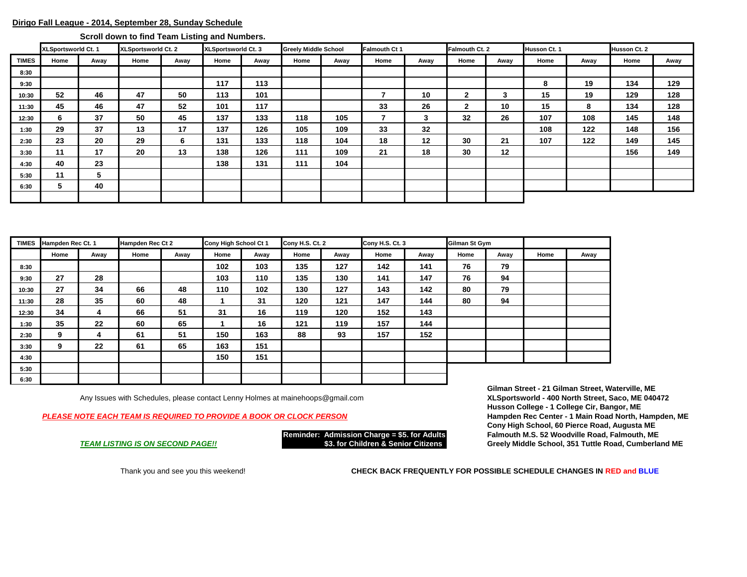## **Dirigo Fall League - 2014, September 28, Sunday Schedule**

**Scroll down to find Team Listing and Numbers.** 

|              | XLSportsworld Ct. 1 |      | <b>XLSportsworld Ct. 2</b> |      | XLSportsworld Ct. 3 |      | <b>Greely Middle School</b> |      | Falmouth Ct 1 |      | Falmouth Ct. 2 |      | Husson Ct. 1 |      | Husson Ct. 2 |      |
|--------------|---------------------|------|----------------------------|------|---------------------|------|-----------------------------|------|---------------|------|----------------|------|--------------|------|--------------|------|
| <b>TIMES</b> | Home                | Away | Home                       | Away | Home                | Away | Home                        | Away | Home          | Away | Home           | Away | Home         | Away | Home         | Away |
| 8:30         |                     |      |                            |      |                     |      |                             |      |               |      |                |      |              |      |              |      |
| 9:30         |                     |      |                            |      | 117                 | 113  |                             |      |               |      |                |      | 8            | 19   | 134          | 129  |
| 10:30        | 52                  | 46   | 47                         | 50   | 113                 | 101  |                             |      |               | 10   | $\mathbf{2}$   | 3    | 15           | 19   | 129          | 128  |
| 11:30        | 45                  | 46   | 47                         | 52   | 101                 | 117  |                             |      | 33            | 26   | $\mathbf{2}$   | 10   | 15           | 8    | 134          | 128  |
| 12:30        | 6                   | 37   | 50                         | 45   | 137                 | 133  | 118                         | 105  |               | 3    | 32             | 26   | 107          | 108  | 145          | 148  |
| 1:30         | 29                  | 37   | 13                         | 17   | 137                 | 126  | 105                         | 109  | 33            | 32   |                |      | 108          | 122  | 148          | 156  |
| 2:30         | 23                  | 20   | 29                         | 6    | 131                 | 133  | 118                         | 104  | 18            | 12   | 30             | 21   | 107          | 122  | 149          | 145  |
| 3:30         | 11                  | 17   | 20                         | 13   | 138                 | 126  | 111                         | 109  | 21            | 18   | 30             | 12   |              |      | 156          | 149  |
| 4:30         | 40                  | 23   |                            |      | 138                 | 131  | 111                         | 104  |               |      |                |      |              |      |              |      |
| 5:30         | 11                  | 5    |                            |      |                     |      |                             |      |               |      |                |      |              |      |              |      |
| 6:30         | 5                   | 40   |                            |      |                     |      |                             |      |               |      |                |      |              |      |              |      |
|              |                     |      |                            |      |                     |      |                             |      |               |      |                |      |              |      |              |      |

| <b>TIMES</b> | Hampden Rec Ct. 1 |      | Hampden Rec Ct 2 |      | Cony High School Ct 1 |      | Cony H.S. Ct. 2 |      | Cony H.S. Ct. 3 |      | Gilman St Gym |      |      |      |
|--------------|-------------------|------|------------------|------|-----------------------|------|-----------------|------|-----------------|------|---------------|------|------|------|
|              | Home              | Away | Home             | Away | Home                  | Away | Home            | Away | Home            | Away | Home          | Away | Home | Away |
| 8:30         |                   |      |                  |      | 102                   | 103  | 135             | 127  | 142             | 141  | 76            | 79   |      |      |
| 9:30         | 27                | 28   |                  |      | 103                   | 110  | 135             | 130  | 141             | 147  | 76            | 94   |      |      |
| 10:30        | 27                | 34   | 66               | 48   | 110                   | 102  | 130             | 127  | 143             | 142  | 80            | 79   |      |      |
| 11:30        | 28                | 35   | 60               | 48   | 1                     | 31   | 120             | 121  | 147             | 144  | 80            | 94   |      |      |
| 12:30        | 34                | 4    | 66               | 51   | 31                    | 16   | 119             | 120  | 152             | 143  |               |      |      |      |
| 1:30         | 35                | 22   | 60               | 65   |                       | 16   | 121             | 119  | 157             | 144  |               |      |      |      |
| 2:30         | 9                 | 4    | 61               | 51   | 150                   | 163  | 88              | 93   | 157             | 152  |               |      |      |      |
| 3:30         | 9                 | 22   | 61               | 65   | 163                   | 151  |                 |      |                 |      |               |      |      |      |
| 4:30         |                   |      |                  |      | 150                   | 151  |                 |      |                 |      |               |      |      |      |
| 5:30         |                   |      |                  |      |                       |      |                 |      |                 |      |               |      |      |      |
| 6:30         |                   |      |                  |      |                       |      |                 |      |                 |      |               |      |      |      |

Any Issues with Schedules, please contact Lenny Holmes at mainehoops@gmail.com

*PLEASE NOTE EACH TEAM IS REQUIRED TO PROVIDE A BOOK OR CLOCK PERSON* **Hampden Rec Center - 1 Main Road North, Hampden, ME**

**Gilman Street - 21 Gilman Street, Waterville, ME Husson College - 1 College Cir, Bangor, ME Cony High School, 60 Pierce Road, Augusta ME Reminder: Admission Charge = \$5. for Adults Falmouth M.S. 52 Woodville Road, Falmouth, ME** *TEAM LISTING IS ON SECOND PAGE!!* **\$3. for Children & Senior Citizens Greely Middle School, 351 Tuttle Road, Cumberland ME**

Thank you and see you this weekend! **CHECK BACK FREQUENTLY FOR POSSIBLE SCHEDULE CHANGES IN RED and BLUE**